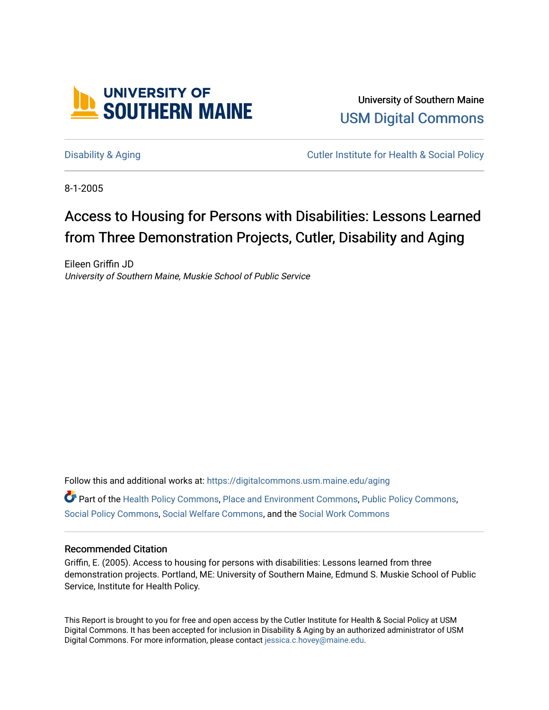

University of Southern Maine [USM Digital Commons](https://digitalcommons.usm.maine.edu/) 

[Disability & Aging](https://digitalcommons.usm.maine.edu/aging) Cutler Institute for Health & Social Policy

8-1-2005

# Access to Housing for Persons with Disabilities: Lessons Learned from Three Demonstration Projects, Cutler, Disability and Aging

Eileen Griffin JD University of Southern Maine, Muskie School of Public Service

Follow this and additional works at: [https://digitalcommons.usm.maine.edu/aging](https://digitalcommons.usm.maine.edu/aging?utm_source=digitalcommons.usm.maine.edu%2Faging%2F1&utm_medium=PDF&utm_campaign=PDFCoverPages) Part of the [Health Policy Commons](http://network.bepress.com/hgg/discipline/395?utm_source=digitalcommons.usm.maine.edu%2Faging%2F1&utm_medium=PDF&utm_campaign=PDFCoverPages), [Place and Environment Commons](http://network.bepress.com/hgg/discipline/424?utm_source=digitalcommons.usm.maine.edu%2Faging%2F1&utm_medium=PDF&utm_campaign=PDFCoverPages), [Public Policy Commons](http://network.bepress.com/hgg/discipline/400?utm_source=digitalcommons.usm.maine.edu%2Faging%2F1&utm_medium=PDF&utm_campaign=PDFCoverPages), [Social Policy Commons](http://network.bepress.com/hgg/discipline/1030?utm_source=digitalcommons.usm.maine.edu%2Faging%2F1&utm_medium=PDF&utm_campaign=PDFCoverPages), [Social Welfare Commons,](http://network.bepress.com/hgg/discipline/401?utm_source=digitalcommons.usm.maine.edu%2Faging%2F1&utm_medium=PDF&utm_campaign=PDFCoverPages) and the [Social Work Commons](http://network.bepress.com/hgg/discipline/713?utm_source=digitalcommons.usm.maine.edu%2Faging%2F1&utm_medium=PDF&utm_campaign=PDFCoverPages) 

#### Recommended Citation

Griffin, E. (2005). Access to housing for persons with disabilities: Lessons learned from three demonstration projects. Portland, ME: University of Southern Maine, Edmund S. Muskie School of Public Service, Institute for Health Policy.

This Report is brought to you for free and open access by the Cutler Institute for Health & Social Policy at USM Digital Commons. It has been accepted for inclusion in Disability & Aging by an authorized administrator of USM Digital Commons. For more information, please contact [jessica.c.hovey@maine.edu](mailto:ian.fowler@maine.edu).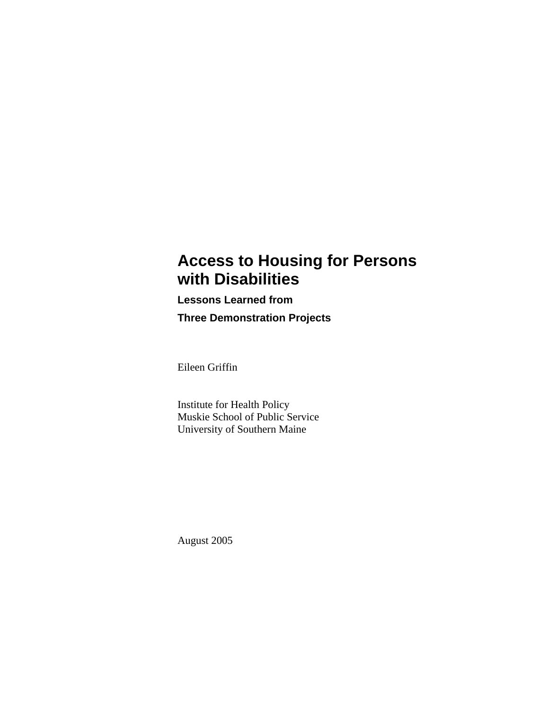## **Access to Housing for Persons with Disabilities**

**Lessons Learned from Three Demonstration Projects** 

Eileen Griffin

Institute for Health Policy Muskie School of Public Service University of Southern Maine

August 2005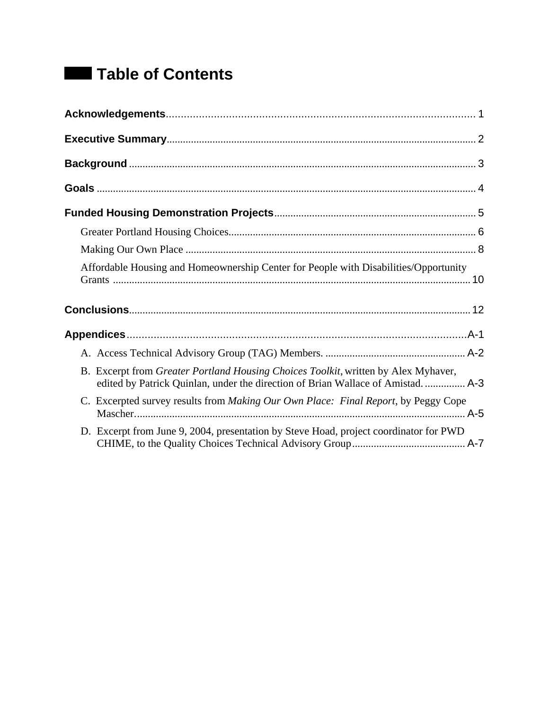# **Table of Contents**

| Affordable Housing and Homeownership Center for People with Disabilities/Opportunity                                                                                   |
|------------------------------------------------------------------------------------------------------------------------------------------------------------------------|
|                                                                                                                                                                        |
|                                                                                                                                                                        |
|                                                                                                                                                                        |
|                                                                                                                                                                        |
| B. Excerpt from Greater Portland Housing Choices Toolkit, written by Alex Myhaver,<br>edited by Patrick Quinlan, under the direction of Brian Wallace of Amistad.  A-3 |
| C. Excerpted survey results from Making Our Own Place: Final Report, by Peggy Cope                                                                                     |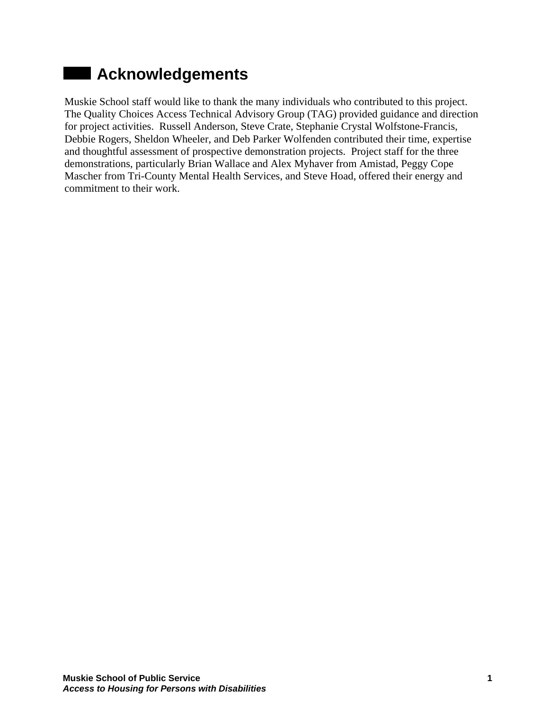# **Acknowledgements**

Muskie School staff would like to thank the many individuals who contributed to this project. The Quality Choices Access Technical Advisory Group (TAG) provided guidance and direction for project activities. Russell Anderson, Steve Crate, Stephanie Crystal Wolfstone-Francis, Debbie Rogers, Sheldon Wheeler, and Deb Parker Wolfenden contributed their time, expertise and thoughtful assessment of prospective demonstration projects. Project staff for the three demonstrations, particularly Brian Wallace and Alex Myhaver from Amistad, Peggy Cope Mascher from Tri-County Mental Health Services, and Steve Hoad, offered their energy and commitment to their work.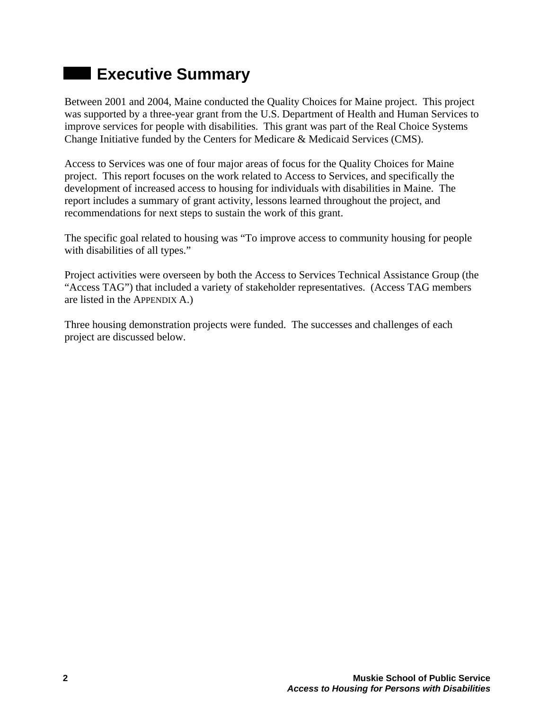# **Executive Summary**

Between 2001 and 2004, Maine conducted the Quality Choices for Maine project. This project was supported by a three-year grant from the U.S. Department of Health and Human Services to improve services for people with disabilities. This grant was part of the Real Choice Systems Change Initiative funded by the Centers for Medicare & Medicaid Services (CMS).

Access to Services was one of four major areas of focus for the Quality Choices for Maine project. This report focuses on the work related to Access to Services, and specifically the development of increased access to housing for individuals with disabilities in Maine. The report includes a summary of grant activity, lessons learned throughout the project, and recommendations for next steps to sustain the work of this grant.

The specific goal related to housing was "To improve access to community housing for people with disabilities of all types."

Project activities were overseen by both the Access to Services Technical Assistance Group (the "Access TAG") that included a variety of stakeholder representatives. (Access TAG members are listed in the APPENDIX A.)

Three housing demonstration projects were funded. The successes and challenges of each project are discussed below.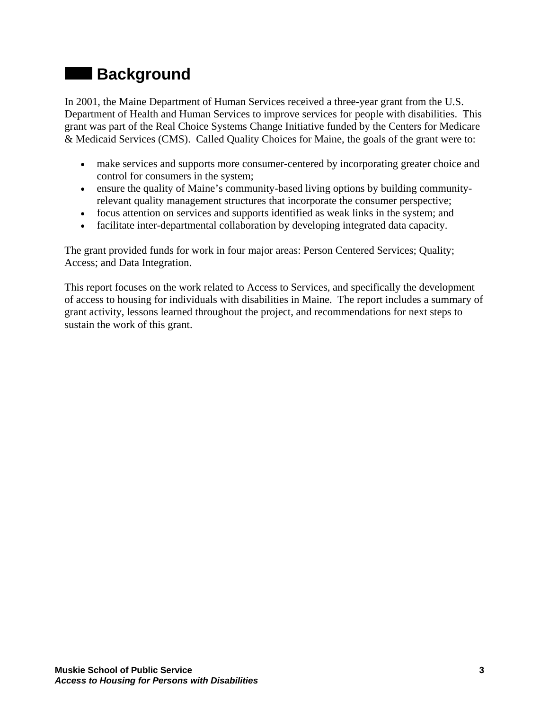# **Background**

In 2001, the Maine Department of Human Services received a three-year grant from the U.S. Department of Health and Human Services to improve services for people with disabilities. This grant was part of the Real Choice Systems Change Initiative funded by the Centers for Medicare & Medicaid Services (CMS). Called Quality Choices for Maine, the goals of the grant were to:

- make services and supports more consumer-centered by incorporating greater choice and control for consumers in the system;
- ensure the quality of Maine's community-based living options by building communityrelevant quality management structures that incorporate the consumer perspective;
- focus attention on services and supports identified as weak links in the system; and
- facilitate inter-departmental collaboration by developing integrated data capacity.

The grant provided funds for work in four major areas: Person Centered Services; Quality; Access; and Data Integration.

This report focuses on the work related to Access to Services, and specifically the development of access to housing for individuals with disabilities in Maine. The report includes a summary of grant activity, lessons learned throughout the project, and recommendations for next steps to sustain the work of this grant.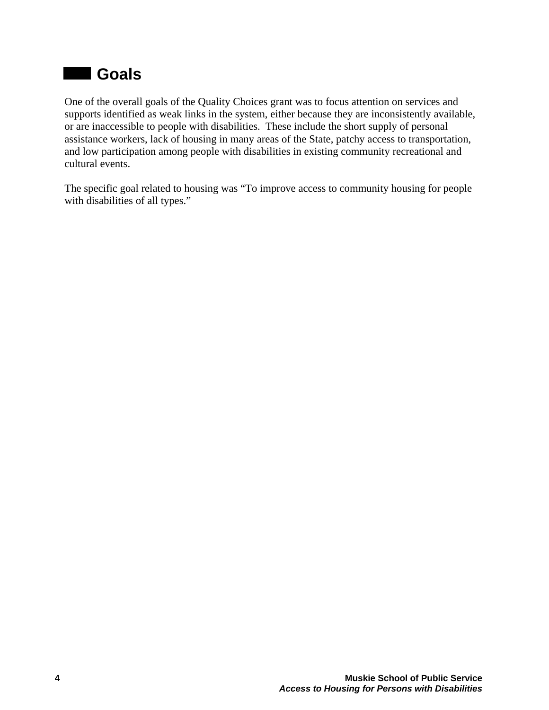## **d** Goals

One of the overall goals of the Quality Choices grant was to focus attention on services and supports identified as weak links in the system, either because they are inconsistently available, or are inaccessible to people with disabilities. These include the short supply of personal assistance workers, lack of housing in many areas of the State, patchy access to transportation, and low participation among people with disabilities in existing community recreational and cultural events.

The specific goal related to housing was "To improve access to community housing for people with disabilities of all types."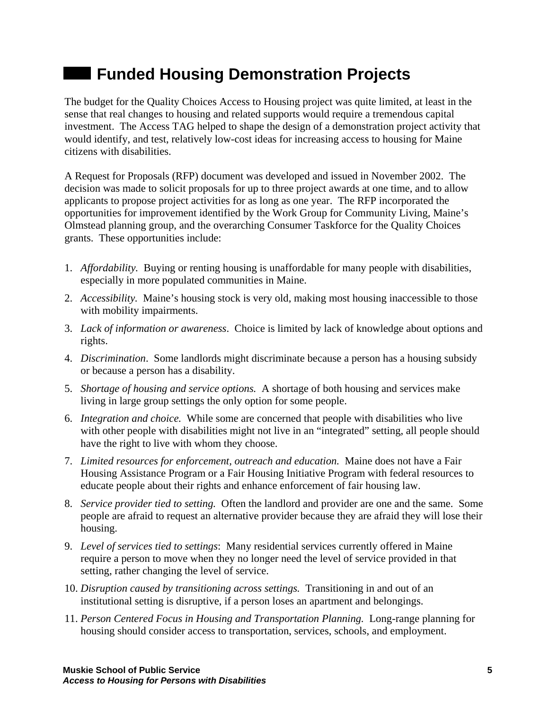# **Example 2 Funded Housing Demonstration Projects**

The budget for the Quality Choices Access to Housing project was quite limited, at least in the sense that real changes to housing and related supports would require a tremendous capital investment. The Access TAG helped to shape the design of a demonstration project activity that would identify, and test, relatively low-cost ideas for increasing access to housing for Maine citizens with disabilities.

A Request for Proposals (RFP) document was developed and issued in November 2002. The decision was made to solicit proposals for up to three project awards at one time, and to allow applicants to propose project activities for as long as one year. The RFP incorporated the opportunities for improvement identified by the Work Group for Community Living, Maine's Olmstead planning group, and the overarching Consumer Taskforce for the Quality Choices grants. These opportunities include:

- 1. *Affordability.* Buying or renting housing is unaffordable for many people with disabilities, especially in more populated communities in Maine.
- 2. *Accessibility.* Maine's housing stock is very old, making most housing inaccessible to thos e with mobility impairments.
- 3. *Lack of information or awareness*. Choice is limited by lack of knowledge about options and rights.
- 4. *Discrimination*. Some landlords might discriminate because a person has a housing subsidy or because a person has a disability.
- 5. *Shortage of housing and service options.* A shortage of both housing and services make living in large group settings the only option for some people.
- 6. *Integration and choice.* While some are concerned that people with disabilities who live with other people with disabilities might not live in an "integrated" setting, all people should have the right to live with whom they choose.
- 7. *Limited resources for enforcement, outreach and education.* Maine does not have a Fair Housing Assistance Program or a Fair Housing Initiative Program with federal resources to educate people about their rights and enhance enforcement of fair housing law.
- 8. *Service provider tied to setting.* Often the landlord and provider are one and the same. Some people are afraid to request an alternative provider because they are afraid they will lose their housing.
- 9. *Level of services tied to settings*: Many residential services currently offered in Maine require a person to move when they no longer need the level of service provided in that setting, rather changing the level of service.
- 10. *Disruption caused by transitioning across settings.* Transitioning in and out of an institutional setting is disruptive, if a person loses an apartment and belongings.
- 11. *Person Centered Focus in Housing and Transportation Planning.* Long-range planning for housing should consider access to transportation, services, schools, and employment.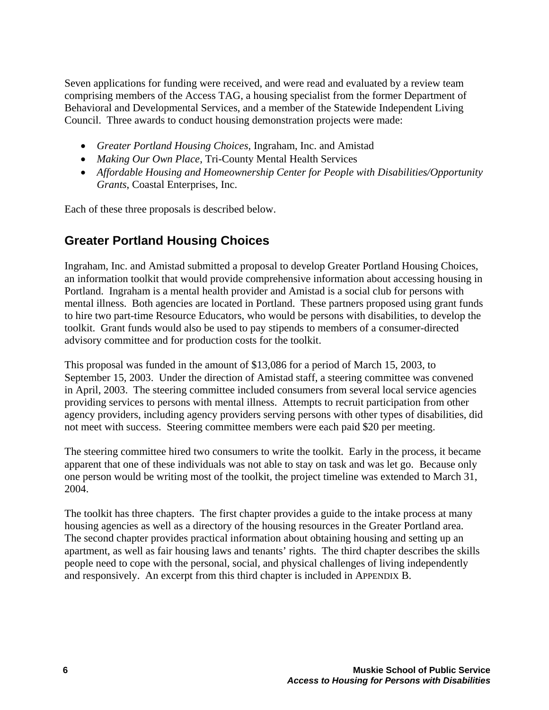Seven applications for funding were received, and were read and evaluated by a review team comprising members of the Access TAG, a housing specialist from the former Department of Behavioral and Developmental Services, and a member of the Statewide Independent Living Council. Three awards to conduct housing demonstration projects were made:

- *Greater Portland Housing Choices*, Ingraham, Inc. and Amistad
- *Making Our Own Place*, Tri-County Mental Health Services
- *Affordable Housing and Homeownership Center for People with Disabilities/Opportunity Grants*, Coastal Enterprises, Inc.

Each of these three proposals is described below.

## **Greater Portland Housing Choices**

Ingraham, Inc. and Amistad submitted a proposal to develop Greater Portland Housing Choices, an information toolkit that would provide comprehensive information about accessing housing in Portland. Ingraham is a mental health provider and Amistad is a social club for persons with mental illness. Both agencies are located in Portland. These partners proposed using grant funds to hire two part-time Resource Educators, who would be persons with disabilities, to develop the toolkit. Grant funds would also be used to pay stipends to members of a consumer-directed advisory committee and for production costs for the toolkit.

This proposal was funded in the amount of \$13,086 for a period of March 15, 2003, to September 15, 2003. Under the direction of Amistad staff, a steering committee was convened in April, 2003. The steering committee included consumers from several local service agencies providing services to persons with mental illness. Attempts to recruit participation from other agency providers, including agency providers serving persons with other types of disabilities, did not meet with success. Steering committee members were each paid \$20 per meeting.

The steering committee hired two consumers to write the toolkit. Early in the process, it became apparent that one of these individuals was not able to stay on task and was let go. Because only one person would be writing most of the toolkit, the project timeline was extended to March 31, 2004.

The toolkit has three chapters. The first chapter provides a guide to the intake process at many housing agencies as well as a directory of the housing resources in the Greater Portland area. The second chapter provides practical information about obtaining housing and setting up an apartment, as well as fair housing laws and tenants' rights. The third chapter describes the skills people need to cope with the personal, social, and physical challenges of living independently and responsively. An excerpt from this third chapter is included in APPENDIX B.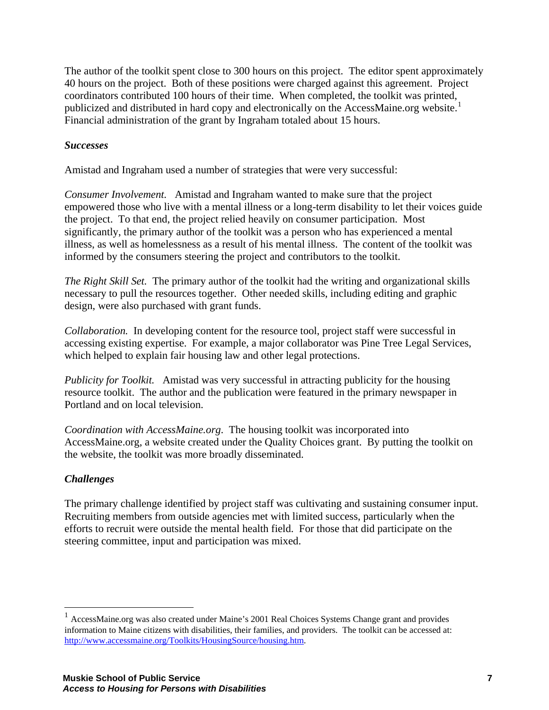The author of the toolkit spent close to 300 hours on this project. The editor spent approximately 40 hours on the project. Both of these positions were charged against this agreement. Project coordinators contributed 100 hours of their time. When completed, the toolkit was printed, publicized and distributed in hard copy and electronically on the AccessMaine.org website.<sup>[1](#page-10-0)</sup> Financial administration of the grant by Ingraham totaled about 15 hours.

### *Successes*

Amistad and Ingraham used a number of strategies that were very successful:

*Consumer Involvement.* Amistad and Ingraham wanted to make sure that the project empowered those who live with a mental illness or a long-term disability to let their voices guide the project. To that end, the project relied heavily on consumer participation. Most significantly, the primary author of the toolkit was a person who has experienced a mental illness, as well as homelessness as a result of his mental illness. The content of the toolkit was informed by the consumers steering the project and contributors to the toolkit.

*The Right Skill Set.* The primary author of the toolkit had the writing and organizational skills necessary to pull the resources together. Other needed skills, including editing and graphic design, were also purchased with grant funds.

*Collaboration.* In developing content for the resource tool, project staff were successful in accessing existing expertise. For example, a major collaborator was Pine Tree Legal Services, which helped to explain fair housing law and other legal protections.

*Publicity for Toolkit.* Amistad was very successful in attracting publicity for the housing resource toolkit. The author and the publication were featured in the primary newspaper in Portland and on local television.

*Coordination with AccessMaine.org*. The housing toolkit was incorporated into AccessMaine.org, a website created under the Quality Choices grant. By putting the toolkit on the website, the toolkit was more broadly disseminated.

### *Challenges*

 $\overline{a}$ 

The primary challenge identified by project staff was cultivating and sustaining consumer input. Recruiting members from outside agencies met with limited success, particularly when the efforts to recruit were outside the mental health field. For those that did participate on the steering committee, input and participation was mixed.

<span id="page-10-0"></span><sup>&</sup>lt;sup>1</sup> AccessMaine.org was also created under Maine's 2001 Real Choices Systems Change grant and provides information to Maine citizens with disabilities, their families, and providers. The toolkit can be accessed at: [http://www.accessmaine.org/Toolkits/HousingSource/housing.htm.](http://www.accessmaine.org/Toolkits/HousingSource/housing.htm)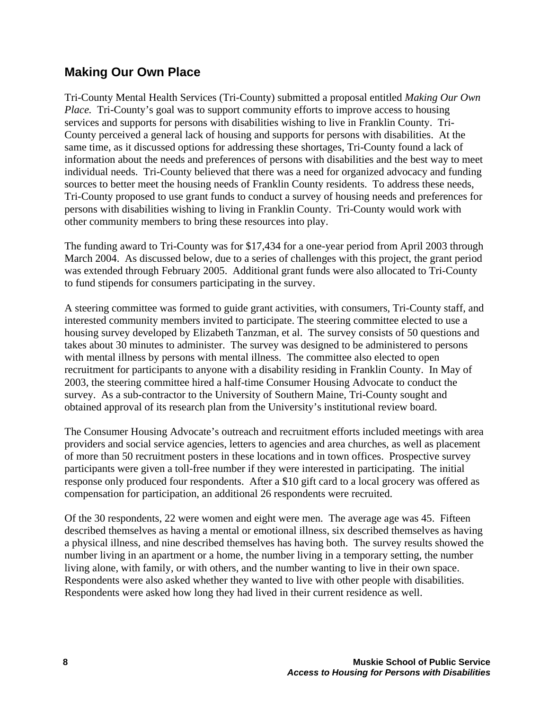### **Making Our Own Place**

Tri-County Mental Health Services (Tri-County) submitted a proposal entitled *Making Our Own Place.* Tri-County's goal was to support community efforts to improve access to housing services and supports for persons with disabilities wishing to live in Franklin County. Tri-County perceived a general lack of housing and supports for persons with disabilities. At the same time, as it discussed options for addressing these shortages, Tri-County found a lack of information about the needs and preferences of persons with disabilities and the best way to meet individual needs. Tri-County believed that there was a need for organized advocacy and funding sources to better meet the housing needs of Franklin County residents. To address these needs, Tri-County proposed to use grant funds to conduct a survey of housing needs and preferences for persons with disabilities wishing to living in Franklin County. Tri-County would work with other community members to bring these resources into play.

The funding award to Tri-County was for \$17,434 for a one-year period from April 2003 through March 2004. As discussed below, due to a series of challenges with this project, the grant period was extended through February 2005. Additional grant funds were also allocated to Tri-County to fund stipends for consumers participating in the survey.

A steering committee was formed to guide grant activities, with consumers, Tri-County staff, and interested community members invited to participate. The steering committee elected to use a housing survey developed by Elizabeth Tanzman, et al. The survey consists of 50 questions and takes about 30 minutes to administer. The survey was designed to be administered to persons with mental illness by persons with mental illness. The committee also elected to open recruitment for participants to anyone with a disability residing in Franklin County. In May of 2003, the steering committee hired a half-time Consumer Housing Advocate to conduct the survey. As a sub-contractor to the University of Southern Maine, Tri-County sought and obtained approval of its research plan from the University's institutional review board.

The Consumer Housing Advocate's outreach and recruitment efforts included meetings with area providers and social service agencies, letters to agencies and area churches, as well as placement of more than 50 recruitment posters in these locations and in town offices. Prospective survey participants were given a toll-free number if they were interested in participating. The initial response only produced four respondents. After a \$10 gift card to a local grocery was offered as compensation for participation, an additional 26 respondents were recruited.

Of the 30 respondents, 22 were women and eight were men. The average age was 45. Fifteen described themselves as having a mental or emotional illness, six described themselves as having a physical illness, and nine described themselves has having both. The survey results showed the number living in an apartment or a home, the number living in a temporary setting, the number living alone, with family, or with others, and the number wanting to live in their own space. Respondents were also asked whether they wanted to live with other people with disabilities. Respondents were asked how long they had lived in their current residence as well.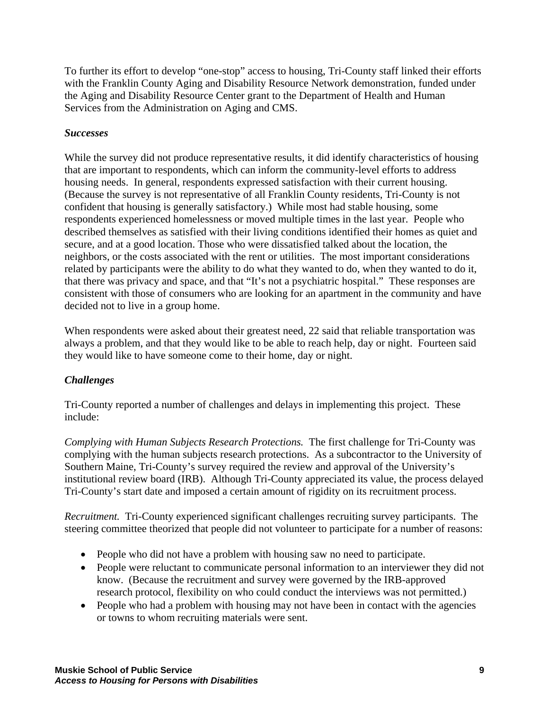To further its effort to develop "one-stop" access to housing, Tri-County staff linked their efforts with the Franklin County Aging and Disability Resource Network demonstration, funded under the Aging and Disability Resource Center grant to the Department of Health and Human Services from the Administration on Aging and CMS.

### *Successes*

While the survey did not produce representative results, it did identify characteristics of housing that are important to respondents, which can inform the community-level efforts to address housing needs. In general, respondents expressed satisfaction with their current housing. (Because the survey is not representative of all Franklin County residents, Tri-County is not confident that housing is generally satisfactory.) While most had stable housing, some respondents experienced homelessness or moved multiple times in the last year. People who described themselves as satisfied with their living conditions identified their homes as quiet and secure, and at a good location. Those who were dissatisfied talked about the location, the neighbors, or the costs associated with the rent or utilities. The most important considerations related by participants were the ability to do what they wanted to do, when they wanted to do it, that there was privacy and space, and that "It's not a psychiatric hospital." These responses are consistent with those of consumers who are looking for an apartment in the community and have decided not to live in a group home.

When respondents were asked about their greatest need, 22 said that reliable transportation was always a problem, and that they would like to be able to reach help, day or night. Fourteen said they would like to have someone come to their home, day or night.

### *Challenges*

Tri-County reported a number of challenges and delays in implementing this project. These include:

*Complying with Human Subjects Research Protections.* The first challenge for Tri-County was complying with the human subjects research protections. As a subcontractor to the University of Southern Maine, Tri-County's survey required the review and approval of the University's institutional review board (IRB). Although Tri-County appreciated its value, the process delayed Tri-County's start date and imposed a certain amount of rigidity on its recruitment process.

*Recruitment.* Tri-County experienced significant challenges recruiting survey participants. The steering committee theorized that people did not volunteer to participate for a number of reasons:

- People who did not have a problem with housing saw no need to participate.
- People were reluctant to communicate personal information to an interviewer they did not know. (Because the recruitment and survey were governed by the IRB-approved research protocol, flexibility on who could conduct the interviews was not permitted.)
- People who had a problem with housing may not have been in contact with the agencies or towns to whom recruiting materials were sent.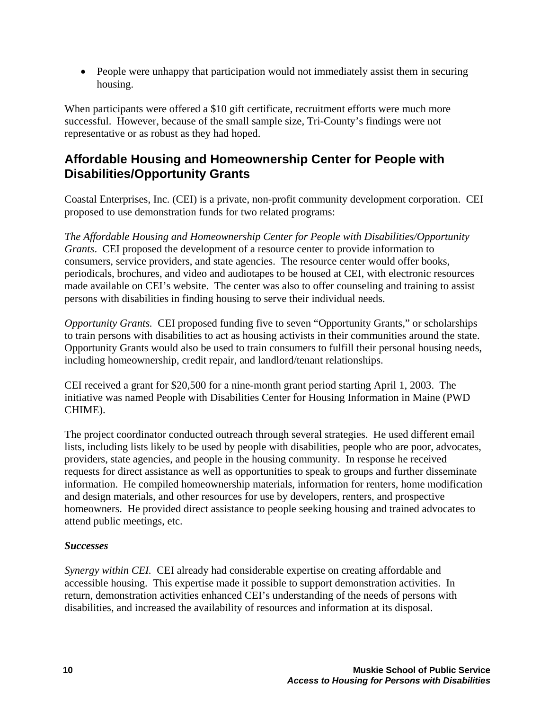• People were unhappy that participation would not immediately assist them in securing housing.

When participants were offered a \$10 gift certificate, recruitment efforts were much more successful. However, because of the small sample size, Tri-County's findings were not representative or as robust as they had hoped.

## **Affordable Housing and Homeownership Center for People with Disabilities/Opportunity Grants**

Coastal Enterprises, Inc. (CEI) is a private, non-profit community development corporation. CEI proposed to use demonstration funds for two related programs:

*The Affordable Housing and Homeownership Center for People with Disabilities/Opportunity Grants*. CEI proposed the development of a resource center to provide information to consumers, service providers, and state agencies. The resource center would offer books, periodicals, brochures, and video and audiotapes to be housed at CEI, with electronic resources made available on CEI's website. The center was also to offer counseling and training to assist persons with disabilities in finding housing to serve their individual needs.

*Opportunity Grants.* CEI proposed funding five to seven "Opportunity Grants," or scholarships to train persons with disabilities to act as housing activists in their communities around the state. Opportunity Grants would also be used to train consumers to fulfill their personal housing needs, including homeownership, credit repair, and landlord/tenant relationships.

CEI received a grant for \$20,500 for a nine-month grant period starting April 1, 2003. The initiative was named People with Disabilities Center for Housing Information in Maine (PWD CHIME).

The project coordinator conducted outreach through several strategies. He used different email lists, including lists likely to be used by people with disabilities, people who are poor, advocates, providers, state agencies, and people in the housing community. In response he received requests for direct assistance as well as opportunities to speak to groups and further disseminate information. He compiled homeownership materials, information for renters, home modification and design materials, and other resources for use by developers, renters, and prospective homeowners. He provided direct assistance to people seeking housing and trained advocates to attend public meetings, etc.

### *Successes*

*Synergy within CEI.* CEI already had considerable expertise on creating affordable and accessible housing. This expertise made it possible to support demonstration activities. In return, demonstration activities enhanced CEI's understanding of the needs of persons with disabilities, and increased the availability of resources and information at its disposal.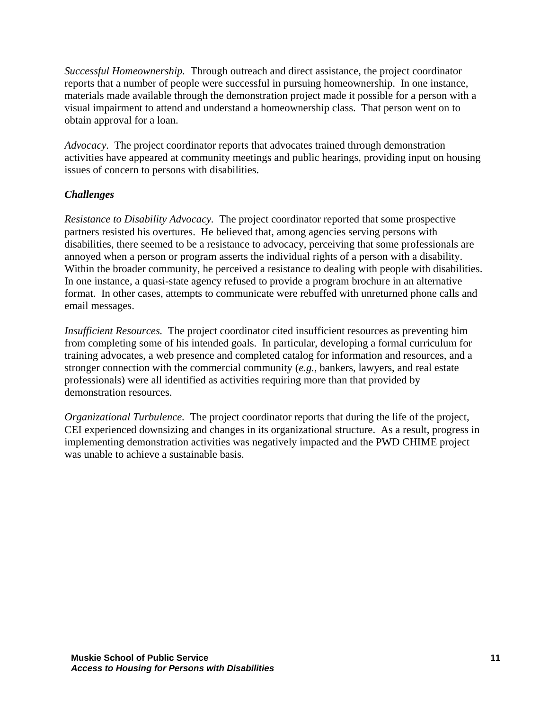*Successful Homeownership.* Through outreach and direct assistance, the project coordinator reports that a number of people were successful in pursuing homeownership. In one instance, materials made available through the demonstration project made it possible for a person with a visual impairment to attend and understand a homeownership class. That person went on to obtain approval for a loan.

*Advocacy.* The project coordinator reports that advocates trained through demonstration activities have appeared at community meetings and public hearings, providing input on housing issues of concern to persons with disabilities.

### *Challenges*

*Resistance to Disability Advocacy.* The project coordinator reported that some prospective partners resisted his overtures. He believed that, among agencies serving persons with disabilities, there seemed to be a resistance to advocacy, perceiving that some professionals are annoyed when a person or program asserts the individual rights of a person with a disability. Within the broader community, he perceived a resistance to dealing with people with disabilities. In one instance, a quasi-state agency refused to provide a program brochure in an alternative format. In other cases, attempts to communicate were rebuffed with unreturned phone calls and email messages.

*Insufficient Resources.* The project coordinator cited insufficient resources as preventing him from completing some of his intended goals. In particular, developing a formal curriculum for training advocates, a web presence and completed catalog for information and resources, and a stronger connection with the commercial community (*e.g.*, bankers, lawyers, and real estate professionals) were all identified as activities requiring more than that provided by demonstration resources.

*Organizational Turbulence.* The project coordinator reports that during the life of the project, CEI experienced downsizing and changes in its organizational structure. As a result, progress in implementing demonstration activities was negatively impacted and the PWD CHIME project was unable to achieve a sustainable basis.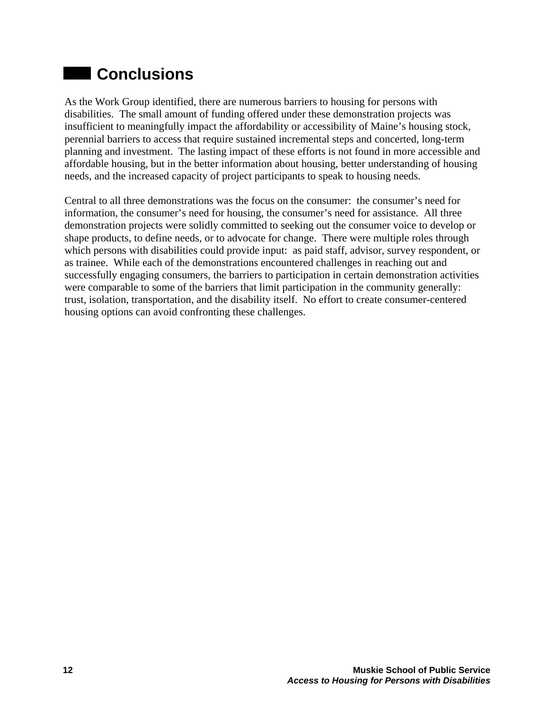# **Conclusions**

As the Work Group identified, there are numerous barriers to housing for persons with disabilities. The small amount of funding offered under these demonstration projects was insufficient to meaningfully impact the affordability or accessibility of Maine's housing stock, perennial barriers to access that require sustained incremental steps and concerted, long-term planning and investment. The lasting impact of these efforts is not found in more accessible and affordable housing, but in the better information about housing, better understanding of housing needs, and the increased capacity of project participants to speak to housing needs.

Central to all three demonstrations was the focus on the consumer: the consumer's need for information, the consumer's need for housing, the consumer's need for assistance. All three demonstration projects were solidly committed to seeking out the consumer voice to develop or shape products, to define needs, or to advocate for change. There were multiple roles through which persons with disabilities could provide input: as paid staff, advisor, survey respondent, or as trainee. While each of the demonstrations encountered challenges in reaching out and successfully engaging consumers, the barriers to participation in certain demonstration activities were comparable to some of the barriers that limit participation in the community generally: trust, isolation, transportation, and the disability itself. No effort to create consumer-centered housing options can avoid confronting these challenges.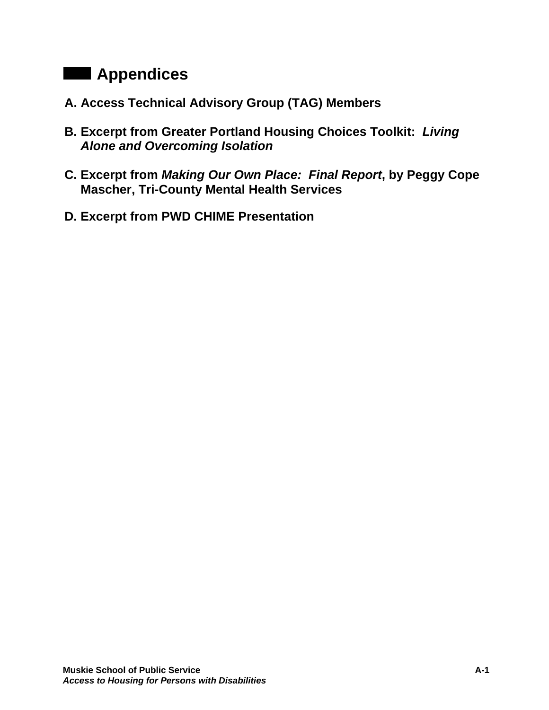# **Appendices**

- **A. Access Technical Advisory Group (TAG) Members**
- **B. Excerpt from Greater Portland Housing Choices Toolkit:** *Living Alone and Overcoming Isolation*
- **C. Excerpt from** *Making Our Own Place: Final Report***, by Peggy Cope Mascher, Tri-County Mental Health Services**
- **D. Excerpt from PWD CHIME Presentation**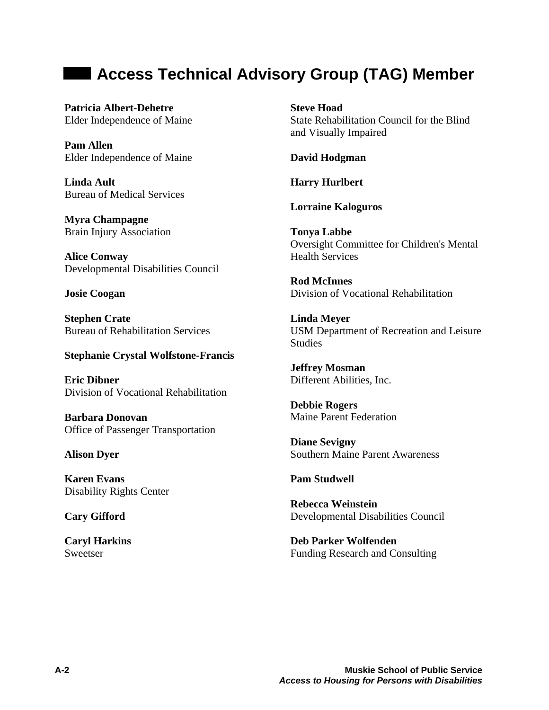## **Example 2 Access Technical Advisory Group (TAG) Member**

**Patricia Albert-Dehetre**  Elder Independence of Maine

**Pam Allen**  Elder Independence of Maine

**Linda Ault**  Bureau of Medical Services

**Myra Champagne**  Brain Injury Association

**Alice Conway**  Developmental Disabilities Council

**Josie Coogan** 

**Stephen Crate**  Bureau of Rehabilitation Services

### **Stephanie Crystal Wolfstone-Francis**

**Eric Dibner**  Division of Vocational Rehabilitation

**Barbara Donovan**  Office of Passenger Transportation

### **Alison Dyer**

**Karen Evans**  Disability Rights Center

**Cary Gifford** 

**Caryl Harkins**  Sweetser

**Steve Hoad**  State Rehabilitation Council for the Blind and Visually Impaired

**David Hodgman** 

**Harry Hurlbert** 

**Lorraine Kaloguros** 

**Tonya Labbe**  Oversight Committee for Children's Mental Health Services

**Rod McInnes**  Division of Vocational Rehabilitation

**Linda Meyer**  USM Department of Recreation and Leisure **Studies** 

**Jeffrey Mosman**  Different Abilities, Inc.

**Debbie Rogers**  Maine Parent Federation

**Diane Sevigny**  Southern Maine Parent Awareness

**Pam Studwell** 

**Rebecca Weinstein**  Developmental Disabilities Council

**Deb Parker Wolfenden**  Funding Research and Consulting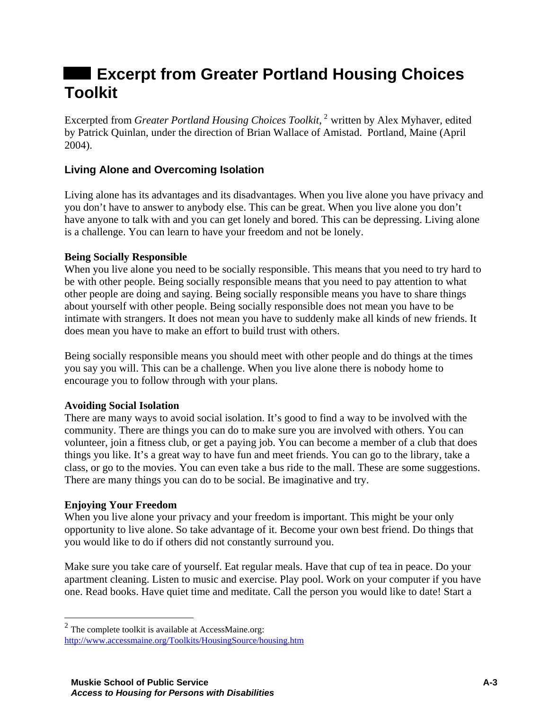# **Excerpt from Greater Portland Housing Choices Toolkit**

Excerpted from *Greater Portland Housing Choices Toolkit*, [2](#page-18-0) written by Alex Myhaver, edited by Patrick Quinlan, under the direction of Brian Wallace of Amistad. Portland, Maine (April 2004).

### **Living Alone and Overcoming Isolation**

Living alone has its advantages and its disadvantages. When you live alone you have privacy and you don't have to answer to anybody else. This can be great. When you live alone you don't have anyone to talk with and you can get lonely and bored. This can be depressing. Living alone is a challenge. You can learn to have your freedom and not be lonely.

### **Being Socially Responsible**

When you live alone you need to be socially responsible. This means that you need to try hard to be with other people. Being socially responsible means that you need to pay attention to what other people are doing and saying. Being socially responsible means you have to share things about yourself with other people. Being socially responsible does not mean you have to be intimate with strangers. It does not mean you have to suddenly make all kinds of new friends. It does mean you have to make an effort to build trust with others.

Being socially responsible means you should meet with other people and do things at the times you say you will. This can be a challenge. When you live alone there is nobody home to encourage you to follow through with your plans.

### **Avoiding Social Isolation**

There are many ways to avoid social isolation. It's good to find a way to be involved with the community. There are things you can do to make sure you are involved with others. You can volunteer, join a fitness club, or get a paying job. You can become a member of a club that does things you like. It's a great way to have fun and meet friends. You can go to the library, take a class, or go to the movies. You can even take a bus ride to the mall. These are some suggestions. There are many things you can do to be social. Be imaginative and try.

### **Enjoying Your Freedom**

 $\overline{a}$ 

When you live alone your privacy and your freedom is important. This might be your only opportunity to live alone. So take advantage of it. Become your own best friend. Do things that you would like to do if others did not constantly surround you.

Make sure you take care of yourself. Eat regular meals. Have that cup of tea in peace. Do your apartment cleaning. Listen to music and exercise. Play pool. Work on your computer if you have one. Read books. Have quiet time and meditate. Call the person you would like to date! Start a

<span id="page-18-0"></span> $2$  The complete toolkit is available at AccessMaine.org: <http://www.accessmaine.org/Toolkits/HousingSource/housing.htm>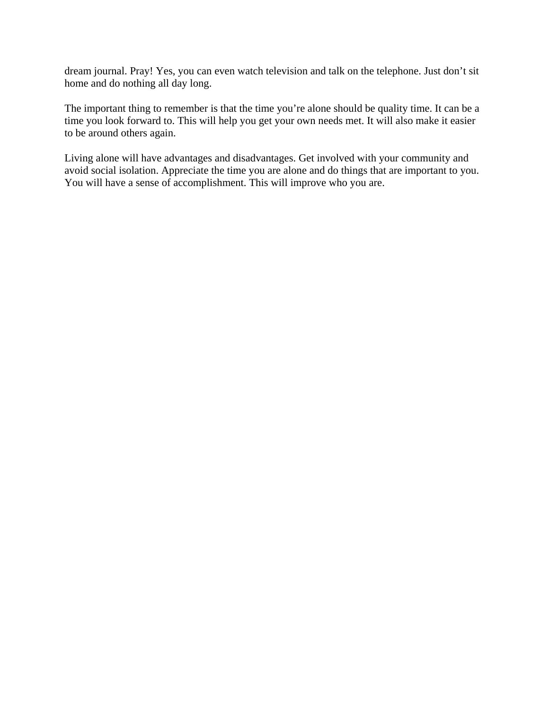dream journal. Pray! Yes, you can even watch television and talk on the telephone. Just don't sit home and do nothing all day long.

The important thing to remember is that the time you're alone should be quality time. It can be a time you look forward to. This will help you get your own needs met. It will also make it easier to be around others again.

Living alone will have advantages and disadvantages. Get involved with your community and avoid social isolation. Appreciate the time you are alone and do things that are important to you. You will have a sense of accomplishment. This will improve who you are.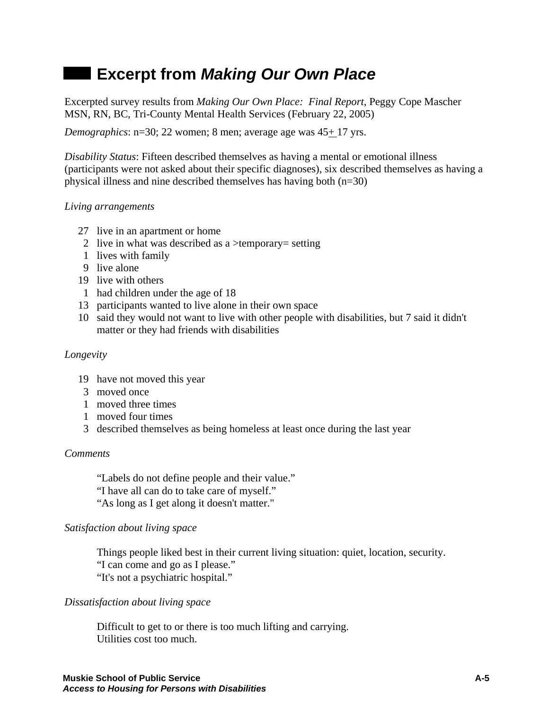# **Excerpt from** *Making Our Own Place*

Excerpted survey results from *Making Our Own Place: Final Report*, Peggy Cope Mascher MSN, RN, BC, Tri-County Mental Health Services (February 22, 2005)

*Demographics*:  $n=30$ ; 22 women; 8 men; average age was  $45+17$  yrs.

*Disability Status*: Fifteen described themselves as having a mental or emotional illness (participants were not asked about their specific diagnoses), six described themselves as having a physical illness and nine described themselves has having both (n=30)

### *Living arrangements*

- 27 live in an apartment or home
- 2 live in what was described as a >temporary= setting
- 1 lives with family
- 9 live alone
- 19 live with others
- 1 had children under the age of 18
- 13 participants wanted to live alone in their own space
- 10 said they would not want to live with other people with disabilities, but 7 said it didn't matter or they had friends with disabilities

### *Longevity*

- 19 have not moved this year
- 3 moved once
- 1 moved three times
- 1 moved four times
- 3 described themselves as being homeless at least once during the last year

### *Comments*

"Labels do not define people and their value."

"I have all can do to take care of myself."

"As long as I get along it doesn't matter."

### *Satisfaction about living space*

Things people liked best in their current living situation: quiet, location, security. "I can come and go as I please." "It's not a psychiatric hospital."

### *Dissatisfaction about living space*

Difficult to get to or there is too much lifting and carrying. Utilities cost too much.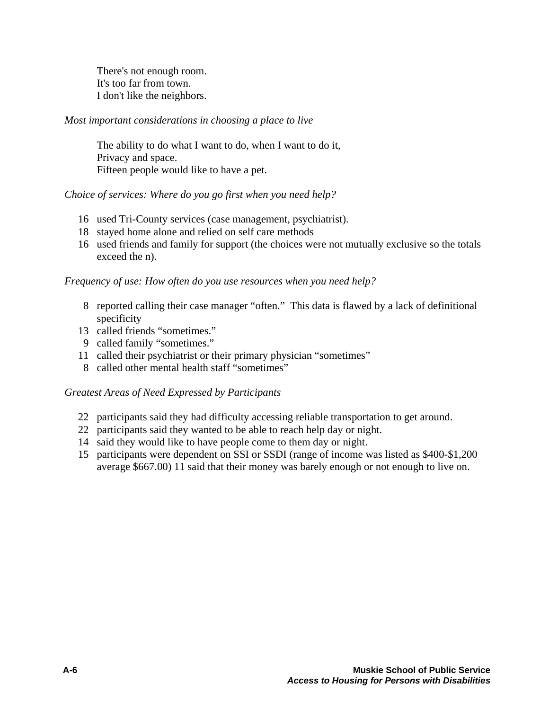There's not enough room. It's too far from town. I don't like the neighbors.

### *Most important considerations in choosing a place to live*

The ability to do what I want to do, when I want to do it, Privacy and space. Fifteen people would like to have a pet.

### *Choice of services: Where do you go first when you need help?*

- 16 used Tri-County services (case management, psychiatrist).
- 18 stayed home alone and relied on self care methods
- 16 used friends and family for support (the choices were not mutually exclusive so the totals exceed the n).

*Frequency of use: How often do you use resources when you need help?* 

- 8 reported calling their case manager "often." This data is flawed by a lack of definitional specificity
- 13 called friends "sometimes."
- 9 called family "sometimes."
- 11 called their psychiatrist or their primary physician "sometimes"
- 8 called other mental health staff "sometimes"

### *Greatest Areas of Need Expressed by Participants*

- 22 participants said they had difficulty accessing reliable transportation to get around.
- 22 participants said they wanted to be able to reach help day or night.
- 14 said they would like to have people come to them day or night.
- 15 participants were dependent on SSI or SSDI (range of income was listed as \$400-\$1,200 average \$667.00) 11 said that their money was barely enough or not enough to live on.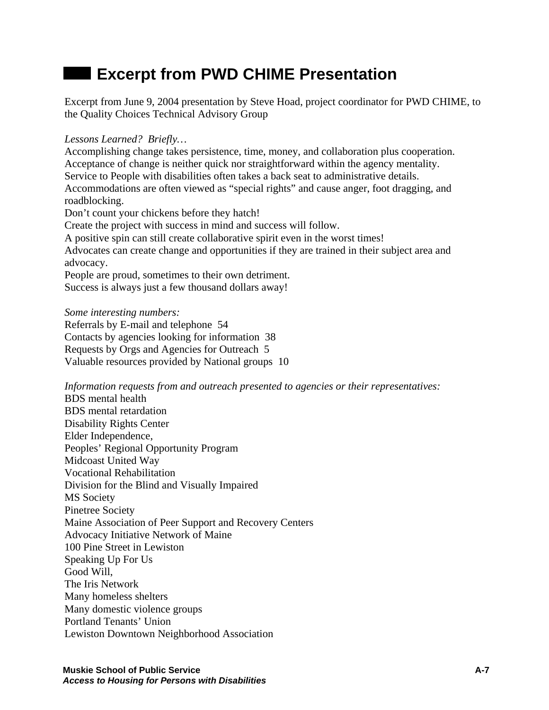# **Excerpt from PWD CHIME Presentation**

Excerpt from June 9, 2004 presentation by Steve Hoad, project coordinator for PWD CHIME, to the Quality Choices Technical Advisory Group

*Lessons Learned? Briefly…* 

Accomplishing change takes persistence, time, money, and collaboration plus cooperation. Acceptance of change is neither quick nor straightforward within the agency mentality. Service to People with disabilities often takes a back seat to administrative details. Accommodations are often viewed as "special rights" and cause anger, foot dragging, and roadblocking.

Don't count your chickens before they hatch!

Create the project with success in mind and success will follow.

A positive spin can still create collaborative spirit even in the worst times!

Advocates can create change and opportunities if they are trained in their subject area and advocacy.

People are proud, sometimes to their own detriment.

Success is always just a few thousand dollars away!

*Some interesting numbers:* 

Referrals by E-mail and telephone 54 Contacts by agencies looking for information 38 Requests by Orgs and Agencies for Outreach 5 Valuable resources provided by National groups 10

*Information requests from and outreach presented to agencies or their representatives:*  BDS mental health BDS mental retardation Disability Rights Center Elder Independence, Peoples' Regional Opportunity Program Midcoast United Way Vocational Rehabilitation Division for the Blind and Visually Impaired MS Society Pinetree Society Maine Association of Peer Support and Recovery Centers Advocacy Initiative Network of Maine 100 Pine Street in Lewiston Speaking Up For Us Good Will, The Iris Network Many homeless shelters Many domestic violence groups Portland Tenants' Union Lewiston Downtown Neighborhood Association